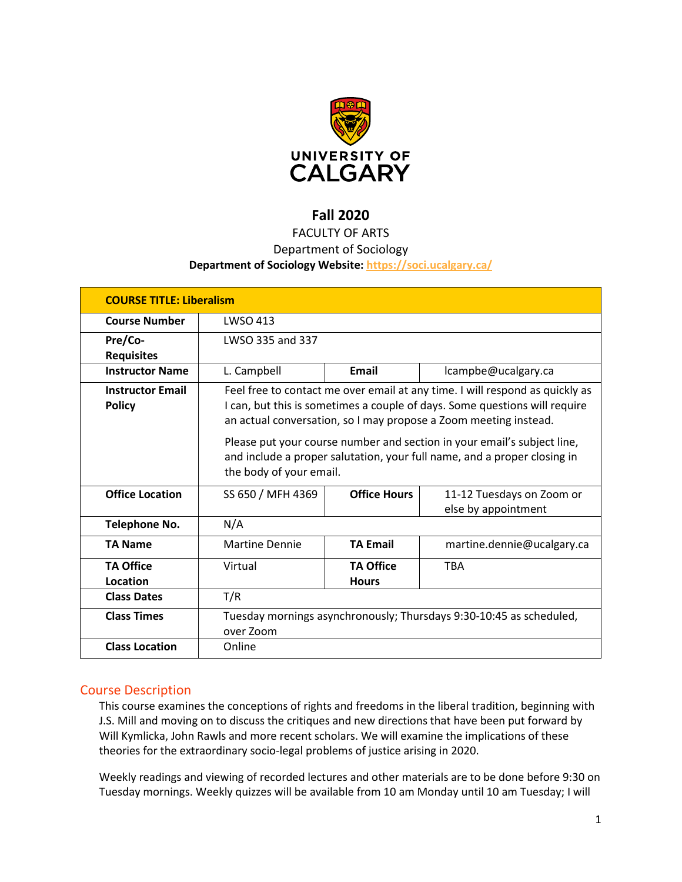

# **Fall 2020**

# FACULTY OF ARTS

# Department of Sociology

### **Department of Sociology Website:<https://soci.ucalgary.ca/>**

| <b>COURSE TITLE: Liberalism</b>          |                                                                                                                                                                                                                                                                                                                                                                                                                  |                                  |                                                  |  |  |
|------------------------------------------|------------------------------------------------------------------------------------------------------------------------------------------------------------------------------------------------------------------------------------------------------------------------------------------------------------------------------------------------------------------------------------------------------------------|----------------------------------|--------------------------------------------------|--|--|
| <b>Course Number</b>                     | <b>LWSO 413</b>                                                                                                                                                                                                                                                                                                                                                                                                  |                                  |                                                  |  |  |
| Pre/Co-<br><b>Requisites</b>             | LWSO 335 and 337                                                                                                                                                                                                                                                                                                                                                                                                 |                                  |                                                  |  |  |
| <b>Instructor Name</b>                   | L. Campbell                                                                                                                                                                                                                                                                                                                                                                                                      | Email                            | lcampbe@ucalgary.ca                              |  |  |
| <b>Instructor Email</b><br><b>Policy</b> | Feel free to contact me over email at any time. I will respond as quickly as<br>I can, but this is sometimes a couple of days. Some questions will require<br>an actual conversation, so I may propose a Zoom meeting instead.<br>Please put your course number and section in your email's subject line,<br>and include a proper salutation, your full name, and a proper closing in<br>the body of your email. |                                  |                                                  |  |  |
| <b>Office Location</b>                   | SS 650 / MFH 4369                                                                                                                                                                                                                                                                                                                                                                                                | <b>Office Hours</b>              | 11-12 Tuesdays on Zoom or<br>else by appointment |  |  |
| <b>Telephone No.</b>                     | N/A                                                                                                                                                                                                                                                                                                                                                                                                              |                                  |                                                  |  |  |
| <b>TA Name</b>                           | <b>Martine Dennie</b>                                                                                                                                                                                                                                                                                                                                                                                            | <b>TA Email</b>                  | martine.dennie@ucalgary.ca                       |  |  |
| <b>TA Office</b><br>Location             | Virtual                                                                                                                                                                                                                                                                                                                                                                                                          | <b>TA Office</b><br><b>Hours</b> | <b>TBA</b>                                       |  |  |
| <b>Class Dates</b>                       | T/R                                                                                                                                                                                                                                                                                                                                                                                                              |                                  |                                                  |  |  |
| <b>Class Times</b>                       | Tuesday mornings asynchronously; Thursdays 9:30-10:45 as scheduled,<br>over Zoom                                                                                                                                                                                                                                                                                                                                 |                                  |                                                  |  |  |
| <b>Class Location</b>                    | Online                                                                                                                                                                                                                                                                                                                                                                                                           |                                  |                                                  |  |  |

# Course Description

This course examines the conceptions of rights and freedoms in the liberal tradition, beginning with J.S. Mill and moving on to discuss the critiques and new directions that have been put forward by Will Kymlicka, John Rawls and more recent scholars. We will examine the implications of these theories for the extraordinary socio-legal problems of justice arising in 2020.

Weekly readings and viewing of recorded lectures and other materials are to be done before 9:30 on Tuesday mornings. Weekly quizzes will be available from 10 am Monday until 10 am Tuesday; I will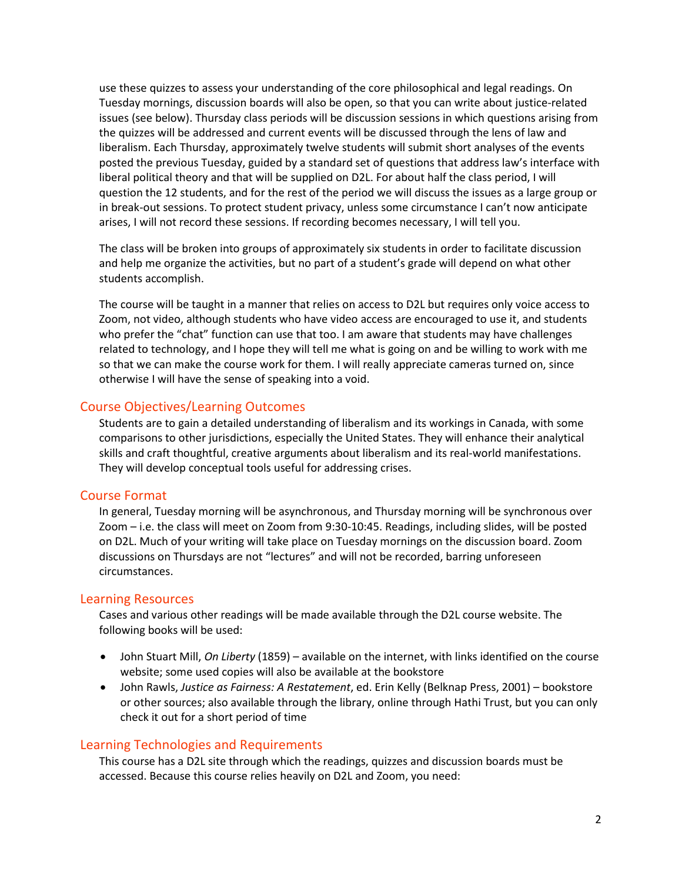use these quizzes to assess your understanding of the core philosophical and legal readings. On Tuesday mornings, discussion boards will also be open, so that you can write about justice-related issues (see below). Thursday class periods will be discussion sessions in which questions arising from the quizzes will be addressed and current events will be discussed through the lens of law and liberalism. Each Thursday, approximately twelve students will submit short analyses of the events posted the previous Tuesday, guided by a standard set of questions that address law's interface with liberal political theory and that will be supplied on D2L. For about half the class period, I will question the 12 students, and for the rest of the period we will discuss the issues as a large group or in break-out sessions. To protect student privacy, unless some circumstance I can't now anticipate arises, I will not record these sessions. If recording becomes necessary, I will tell you.

The class will be broken into groups of approximately six students in order to facilitate discussion and help me organize the activities, but no part of a student's grade will depend on what other students accomplish.

The course will be taught in a manner that relies on access to D2L but requires only voice access to Zoom, not video, although students who have video access are encouraged to use it, and students who prefer the "chat" function can use that too. I am aware that students may have challenges related to technology, and I hope they will tell me what is going on and be willing to work with me so that we can make the course work for them. I will really appreciate cameras turned on, since otherwise I will have the sense of speaking into a void.

#### Course Objectives/Learning Outcomes

Students are to gain a detailed understanding of liberalism and its workings in Canada, with some comparisons to other jurisdictions, especially the United States. They will enhance their analytical skills and craft thoughtful, creative arguments about liberalism and its real-world manifestations. They will develop conceptual tools useful for addressing crises.

#### Course Format

In general, Tuesday morning will be asynchronous, and Thursday morning will be synchronous over Zoom – i.e. the class will meet on Zoom from 9:30-10:45. Readings, including slides, will be posted on D2L. Much of your writing will take place on Tuesday mornings on the discussion board. Zoom discussions on Thursdays are not "lectures" and will not be recorded, barring unforeseen circumstances.

#### Learning Resources

Cases and various other readings will be made available through the D2L course website. The following books will be used:

- John Stuart Mill, *On Liberty* (1859) available on the internet, with links identified on the course website; some used copies will also be available at the bookstore
- John Rawls, *Justice as Fairness: A Restatement*, ed. Erin Kelly (Belknap Press, 2001) bookstore or other sources; also available through the library, online through Hathi Trust, but you can only check it out for a short period of time

### Learning Technologies and Requirements

This course has a D2L site through which the readings, quizzes and discussion boards must be accessed. Because this course relies heavily on D2L and Zoom, you need: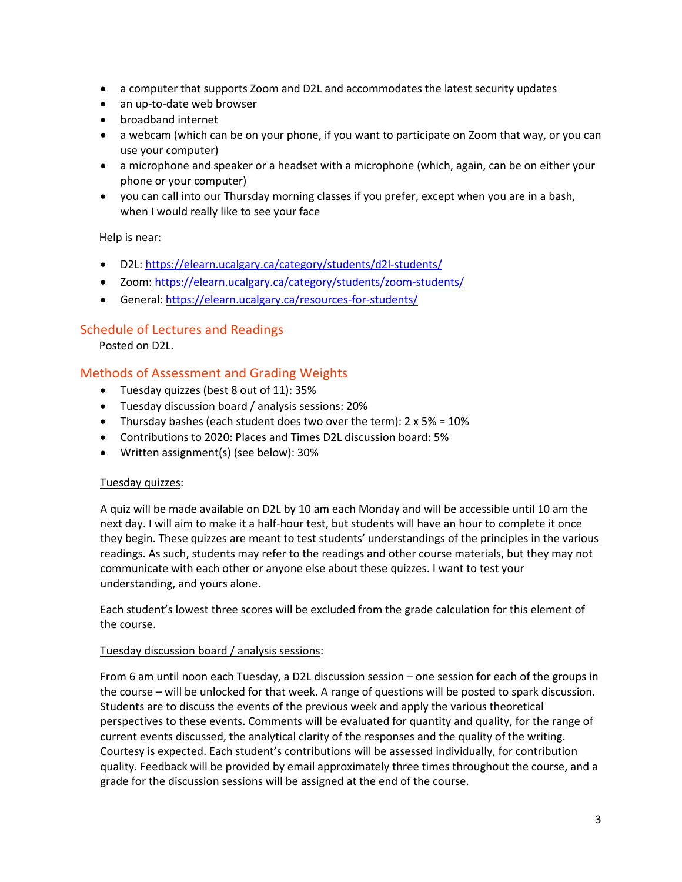- a computer that supports Zoom and D2L and accommodates the latest security updates
- an up-to-date web browser
- broadband internet
- a webcam (which can be on your phone, if you want to participate on Zoom that way, or you can use your computer)
- a microphone and speaker or a headset with a microphone (which, again, can be on either your phone or your computer)
- you can call into our Thursday morning classes if you prefer, except when you are in a bash, when I would really like to see your face

Help is near:

- D2L[: https://elearn.ucalgary.ca/category/students/d2l-students/](https://elearn.ucalgary.ca/category/students/d2l-students/)
- Zoom:<https://elearn.ucalgary.ca/category/students/zoom-students/>
- General[: https://elearn.ucalgary.ca/resources-for-students/](https://elearn.ucalgary.ca/resources-for-students/)

# Schedule of Lectures and Readings

Posted on D2L.

# Methods of Assessment and Grading Weights

- Tuesday quizzes (best 8 out of 11): 35%
- Tuesday discussion board / analysis sessions: 20%
- Thursday bashes (each student does two over the term):  $2 \times 5\% = 10\%$
- Contributions to 2020: Places and Times D2L discussion board: 5%
- Written assignment(s) (see below): 30%

### Tuesday quizzes:

A quiz will be made available on D2L by 10 am each Monday and will be accessible until 10 am the next day. I will aim to make it a half-hour test, but students will have an hour to complete it once they begin. These quizzes are meant to test students' understandings of the principles in the various readings. As such, students may refer to the readings and other course materials, but they may not communicate with each other or anyone else about these quizzes. I want to test your understanding, and yours alone.

Each student's lowest three scores will be excluded from the grade calculation for this element of the course.

### Tuesday discussion board / analysis sessions:

From 6 am until noon each Tuesday, a D2L discussion session – one session for each of the groups in the course – will be unlocked for that week. A range of questions will be posted to spark discussion. Students are to discuss the events of the previous week and apply the various theoretical perspectives to these events. Comments will be evaluated for quantity and quality, for the range of current events discussed, the analytical clarity of the responses and the quality of the writing. Courtesy is expected. Each student's contributions will be assessed individually, for contribution quality. Feedback will be provided by email approximately three times throughout the course, and a grade for the discussion sessions will be assigned at the end of the course.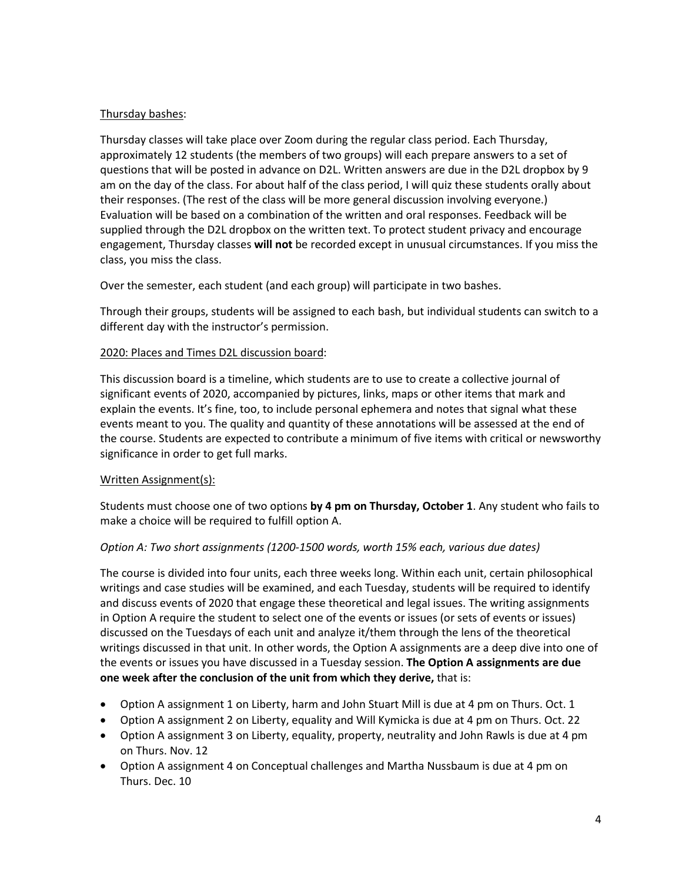## Thursday bashes:

Thursday classes will take place over Zoom during the regular class period. Each Thursday, approximately 12 students (the members of two groups) will each prepare answers to a set of questions that will be posted in advance on D2L. Written answers are due in the D2L dropbox by 9 am on the day of the class. For about half of the class period, I will quiz these students orally about their responses. (The rest of the class will be more general discussion involving everyone.) Evaluation will be based on a combination of the written and oral responses. Feedback will be supplied through the D2L dropbox on the written text. To protect student privacy and encourage engagement, Thursday classes **will not** be recorded except in unusual circumstances. If you miss the class, you miss the class.

Over the semester, each student (and each group) will participate in two bashes.

Through their groups, students will be assigned to each bash, but individual students can switch to a different day with the instructor's permission.

## 2020: Places and Times D2L discussion board:

This discussion board is a timeline, which students are to use to create a collective journal of significant events of 2020, accompanied by pictures, links, maps or other items that mark and explain the events. It's fine, too, to include personal ephemera and notes that signal what these events meant to you. The quality and quantity of these annotations will be assessed at the end of the course. Students are expected to contribute a minimum of five items with critical or newsworthy significance in order to get full marks.

### Written Assignment(s):

Students must choose one of two options **by 4 pm on Thursday, October 1**. Any student who fails to make a choice will be required to fulfill option A.

# *Option A: Two short assignments (1200-1500 words, worth 15% each, various due dates)*

The course is divided into four units, each three weeks long. Within each unit, certain philosophical writings and case studies will be examined, and each Tuesday, students will be required to identify and discuss events of 2020 that engage these theoretical and legal issues. The writing assignments in Option A require the student to select one of the events or issues (or sets of events or issues) discussed on the Tuesdays of each unit and analyze it/them through the lens of the theoretical writings discussed in that unit. In other words, the Option A assignments are a deep dive into one of the events or issues you have discussed in a Tuesday session. **The Option A assignments are due one week after the conclusion of the unit from which they derive,** that is:

- Option A assignment 1 on Liberty, harm and John Stuart Mill is due at 4 pm on Thurs. Oct. 1
- Option A assignment 2 on Liberty, equality and Will Kymicka is due at 4 pm on Thurs. Oct. 22
- Option A assignment 3 on Liberty, equality, property, neutrality and John Rawls is due at 4 pm on Thurs. Nov. 12
- Option A assignment 4 on Conceptual challenges and Martha Nussbaum is due at 4 pm on Thurs. Dec. 10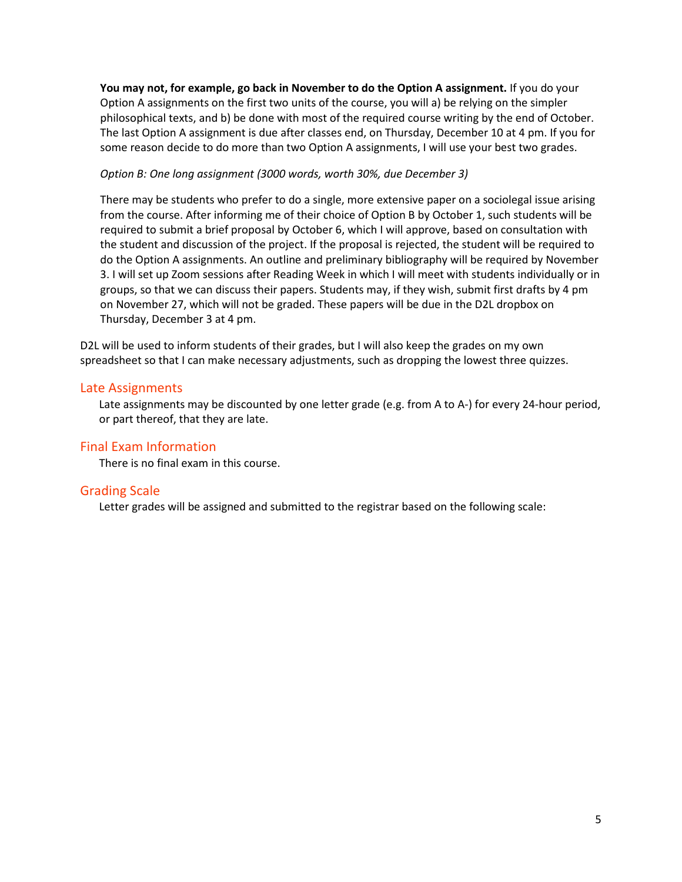**You may not, for example, go back in November to do the Option A assignment.** If you do your Option A assignments on the first two units of the course, you will a) be relying on the simpler philosophical texts, and b) be done with most of the required course writing by the end of October. The last Option A assignment is due after classes end, on Thursday, December 10 at 4 pm. If you for some reason decide to do more than two Option A assignments, I will use your best two grades.

#### *Option B: One long assignment (3000 words, worth 30%, due December 3)*

There may be students who prefer to do a single, more extensive paper on a sociolegal issue arising from the course. After informing me of their choice of Option B by October 1, such students will be required to submit a brief proposal by October 6, which I will approve, based on consultation with the student and discussion of the project. If the proposal is rejected, the student will be required to do the Option A assignments. An outline and preliminary bibliography will be required by November 3. I will set up Zoom sessions after Reading Week in which I will meet with students individually or in groups, so that we can discuss their papers. Students may, if they wish, submit first drafts by 4 pm on November 27, which will not be graded. These papers will be due in the D2L dropbox on Thursday, December 3 at 4 pm.

D2L will be used to inform students of their grades, but I will also keep the grades on my own spreadsheet so that I can make necessary adjustments, such as dropping the lowest three quizzes.

## Late Assignments

Late assignments may be discounted by one letter grade (e.g. from A to A-) for every 24-hour period, or part thereof, that they are late.

# Final Exam Information

There is no final exam in this course.

# Grading Scale

Letter grades will be assigned and submitted to the registrar based on the following scale: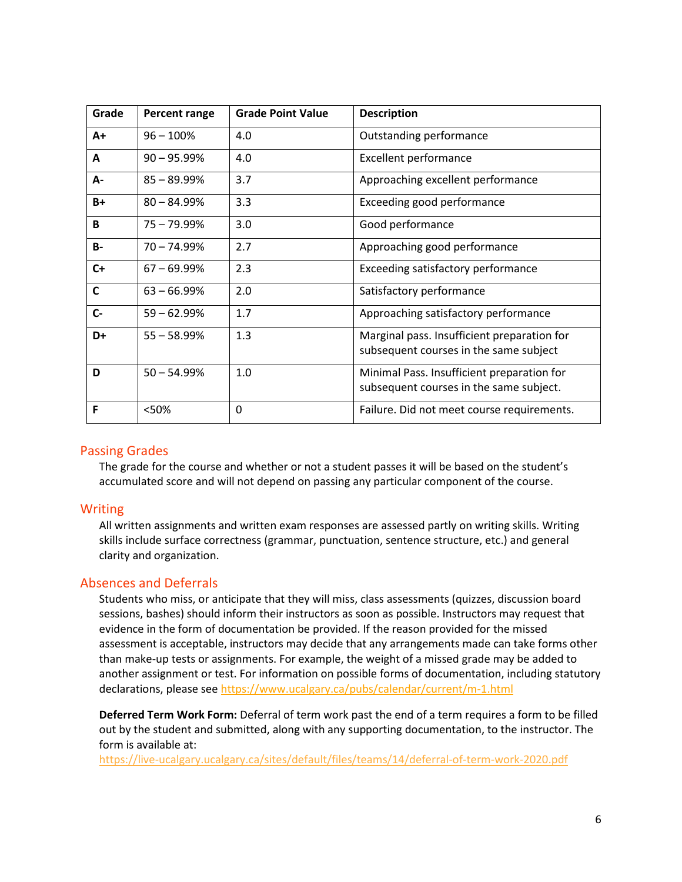| Grade        | Percent range  | <b>Grade Point Value</b> | <b>Description</b>                                                                    |
|--------------|----------------|--------------------------|---------------------------------------------------------------------------------------|
| $A+$         | $96 - 100%$    | 4.0                      | Outstanding performance                                                               |
| A            | $90 - 95.99%$  | 4.0                      | <b>Excellent performance</b>                                                          |
| А-           | $85 - 89.99%$  | 3.7                      | Approaching excellent performance                                                     |
| $B+$         | $80 - 84.99%$  | 3.3                      | Exceeding good performance                                                            |
| B            | $75 - 79.99\%$ | 3.0                      | Good performance                                                                      |
| <b>B-</b>    | $70 - 74.99%$  | 2.7                      | Approaching good performance                                                          |
| $C+$         | $67 - 69.99\%$ | 2.3                      | Exceeding satisfactory performance                                                    |
| $\mathsf{C}$ | $63 - 66.99%$  | 2.0                      | Satisfactory performance                                                              |
| $C -$        | $59 - 62.99%$  | 1.7                      | Approaching satisfactory performance                                                  |
| D+           | $55 - 58.99%$  | 1.3                      | Marginal pass. Insufficient preparation for<br>subsequent courses in the same subject |
| D            | $50 - 54.99%$  | 1.0                      | Minimal Pass. Insufficient preparation for<br>subsequent courses in the same subject. |
| F            | <50%           | 0                        | Failure. Did not meet course requirements.                                            |

# Passing Grades

The grade for the course and whether or not a student passes it will be based on the student's accumulated score and will not depend on passing any particular component of the course.

# Writing

All written assignments and written exam responses are assessed partly on writing skills. Writing skills include surface correctness (grammar, punctuation, sentence structure, etc.) and general clarity and organization.

# Absences and Deferrals

Students who miss, or anticipate that they will miss, class assessments (quizzes, discussion board sessions, bashes) should inform their instructors as soon as possible. Instructors may request that evidence in the form of documentation be provided. If the reason provided for the missed assessment is acceptable, instructors may decide that any arrangements made can take forms other than make-up tests or assignments. For example, the weight of a missed grade may be added to another assignment or test. For information on possible forms of documentation, including statutory declarations, please see <https://www.ucalgary.ca/pubs/calendar/current/m-1.html>

**Deferred Term Work Form:** Deferral of term work past the end of a term requires a form to be filled out by the student and submitted, along with any supporting documentation, to the instructor. The form is available at:

<https://live-ucalgary.ucalgary.ca/sites/default/files/teams/14/deferral-of-term-work-2020.pdf>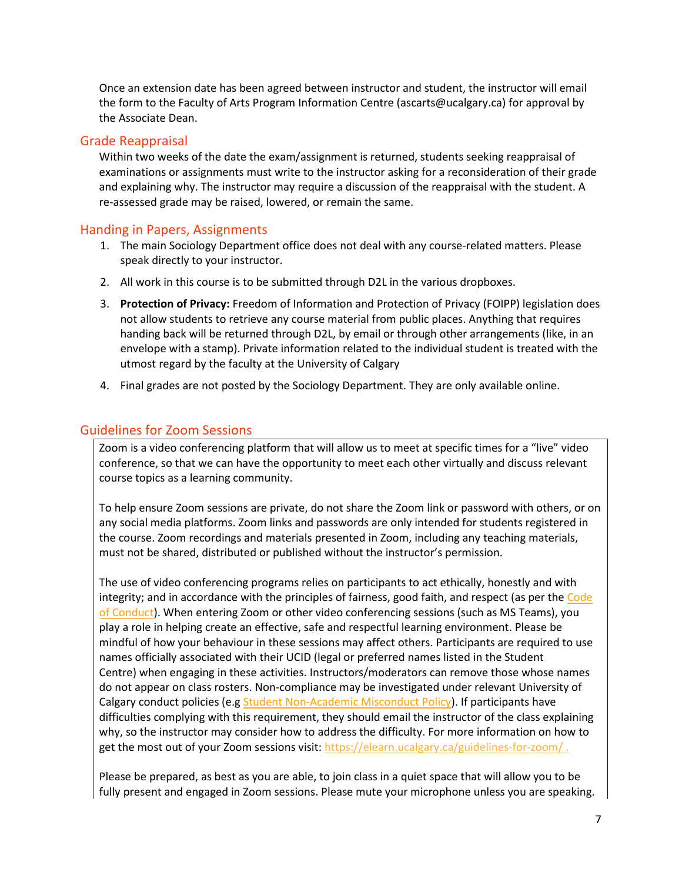Once an extension date has been agreed between instructor and student, the instructor will email the form to the Faculty of Arts Program Information Centre (ascarts@ucalgary.ca) for approval by the Associate Dean.

# Grade Reappraisal

Within two weeks of the date the exam/assignment is returned, students seeking reappraisal of examinations or assignments must write to the instructor asking for a reconsideration of their grade and explaining why. The instructor may require a discussion of the reappraisal with the student. A re-assessed grade may be raised, lowered, or remain the same.

# Handing in Papers, Assignments

- 1. The main Sociology Department office does not deal with any course-related matters. Please speak directly to your instructor.
- 2. All work in this course is to be submitted through D2L in the various dropboxes.
- 3. **Protection of Privacy:** Freedom of Information and Protection of Privacy (FOIPP) legislation does not allow students to retrieve any course material from public places. Anything that requires handing back will be returned through D2L, by email or through other arrangements (like, in an envelope with a stamp). Private information related to the individual student is treated with the utmost regard by the faculty at the University of Calgary
- 4. Final grades are not posted by the Sociology Department. They are only available online.

# Guidelines for Zoom Sessions

Zoom is a video conferencing platform that will allow us to meet at specific times for a "live" video conference, so that we can have the opportunity to meet each other virtually and discuss relevant course topics as a learning community.

To help ensure Zoom sessions are private, do not share the Zoom link or password with others, or on any social media platforms. Zoom links and passwords are only intended for students registered in the course. Zoom recordings and materials presented in Zoom, including any teaching materials, must not be shared, distributed or published without the instructor's permission.

The use of video conferencing programs relies on participants to act ethically, honestly and with integrity; and in accordance with the principles of fairness, good faith, and respect (as per the Code [of Conduct\)](https://www.ucalgary.ca/policies/files/policies/code-of-conduct.pdf). When entering Zoom or other video conferencing sessions (such as MS Teams), you play a role in helping create an effective, safe and respectful learning environment. Please be mindful of how your behaviour in these sessions may affect others. Participants are required to use names officially associated with their UCID (legal or preferred names listed in the Student Centre) when engaging in these activities. Instructors/moderators can remove those whose names do not appear on class rosters. Non-compliance may be investigated under relevant University of Calgary conduct policies (e.g [Student Non-Academic Misconduct Policy\)](https://ucalgary.ca/policies/files/policies/non-academic-misconduct-policy.pdf). If participants have difficulties complying with this requirement, they should email the instructor of the class explaining why, so the instructor may consider how to address the difficulty. For more information on how to get the most out of your Zoom sessions visit:<https://elearn.ucalgary.ca/guidelines-for-zoom/>.

Please be prepared, as best as you are able, to join class in a quiet space that will allow you to be fully present and engaged in Zoom sessions. Please mute your microphone unless you are speaking.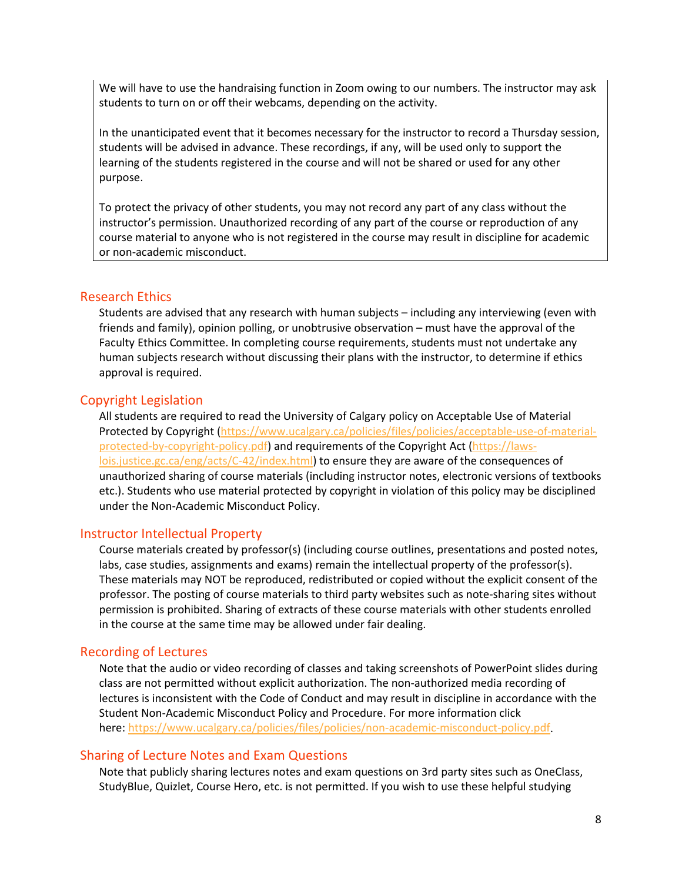We will have to use the handraising function in Zoom owing to our numbers. The instructor may ask students to turn on or off their webcams, depending on the activity.

In the unanticipated event that it becomes necessary for the instructor to record a Thursday session, students will be advised in advance. These recordings, if any, will be used only to support the learning of the students registered in the course and will not be shared or used for any other purpose.

To protect the privacy of other students, you may not record any part of any class without the instructor's permission. Unauthorized recording of any part of the course or reproduction of any course material to anyone who is not registered in the course may result in discipline for academic or non-academic misconduct.

### Research Ethics

Students are advised that any research with human subjects – including any interviewing (even with friends and family), opinion polling, or unobtrusive observation – must have the approval of the Faculty Ethics Committee. In completing course requirements, students must not undertake any human subjects research without discussing their plans with the instructor, to determine if ethics approval is required.

## Copyright Legislation

All students are required to read the University of Calgary policy on Acceptable Use of Material Protected by Copyright [\(https://www.ucalgary.ca/policies/files/policies/acceptable-use-of-material](https://www.ucalgary.ca/policies/files/policies/acceptable-use-of-material-protected-by-copyright-policy.pdf)[protected-by-copyright-policy.pdf\)](https://www.ucalgary.ca/policies/files/policies/acceptable-use-of-material-protected-by-copyright-policy.pdf) and requirements of the Copyright Act [\(https://laws](https://laws-lois.justice.gc.ca/eng/acts/C-42/index.html)[lois.justice.gc.ca/eng/acts/C-42/index.html\)](https://laws-lois.justice.gc.ca/eng/acts/C-42/index.html) to ensure they are aware of the consequences of unauthorized sharing of course materials (including instructor notes, electronic versions of textbooks etc.). Students who use material protected by copyright in violation of this policy may be disciplined under the Non-Academic Misconduct Policy.

### Instructor Intellectual Property

Course materials created by professor(s) (including course outlines, presentations and posted notes, labs, case studies, assignments and exams) remain the intellectual property of the professor(s). These materials may NOT be reproduced, redistributed or copied without the explicit consent of the professor. The posting of course materials to third party websites such as note-sharing sites without permission is prohibited. Sharing of extracts of these course materials with other students enrolled in the course at the same time may be allowed under fair dealing.

# Recording of Lectures

Note that the audio or video recording of classes and taking screenshots of PowerPoint slides during class are not permitted without explicit authorization. The non-authorized media recording of lectures is inconsistent with the Code of Conduct and may result in discipline in accordance with the Student Non-Academic Misconduct Policy and Procedure. For more information click here: [https://www.ucalgary.ca/policies/files/policies/non-academic-misconduct-policy.pdf.](https://www.ucalgary.ca/policies/files/policies/non-academic-misconduct-policy.pdf)

### Sharing of Lecture Notes and Exam Questions

Note that publicly sharing lectures notes and exam questions on 3rd party sites such as OneClass, StudyBlue, Quizlet, Course Hero, etc. is not permitted. If you wish to use these helpful studying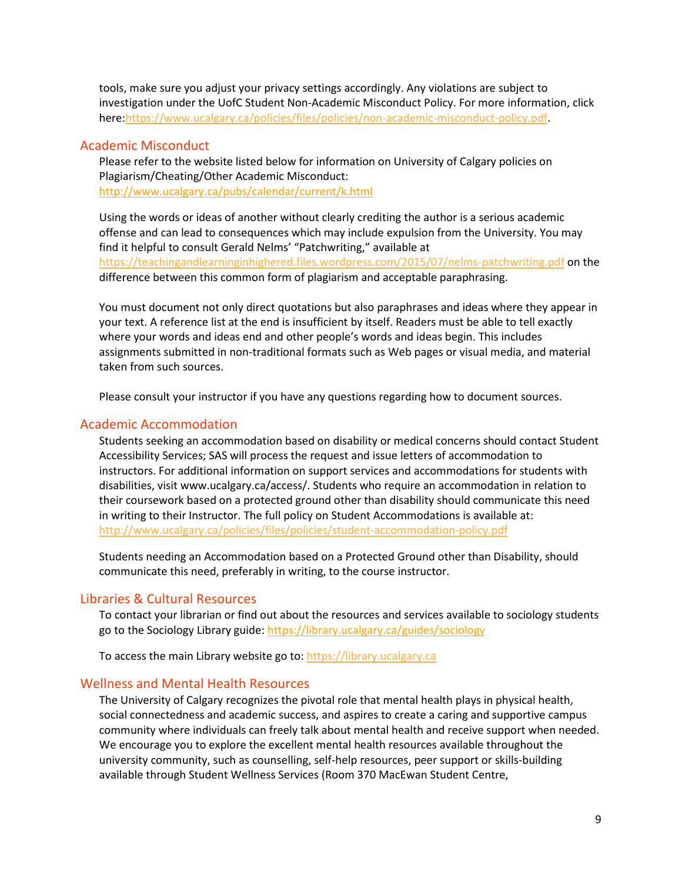tools, make sure you adjust your privacy settings accordingly. Any violations are subject to investigation under the UofC Student Non-Academic Misconduct Policy. For more information, click here[:https://www.ucalgary.ca/policies/files/policies/non-academic-misconduct-policy.pdf.](https://www.ucalgary.ca/policies/files/policies/non-academic-misconduct-policy.pdf)

#### Academic Misconduct

Please refer to the website listed below for information on University of Calgary policies on Plagiarism/Cheating/Other Academic Misconduct: <http://www.ucalgary.ca/pubs/calendar/current/k.html>

Using the words or ideas of another without clearly crediting the author is a serious academic offense and can lead to consequences which may include expulsion from the University. You may find it helpful to consult Gerald Nelms' "Patchwriting," available at <https://teachingandlearninginhighered.files.wordpress.com/2015/07/nelms-patchwriting.pdf> on the difference between this common form of plagiarism and acceptable paraphrasing.

You must document not only direct quotations but also paraphrases and ideas where they appear in your text. A reference list at the end is insufficient by itself. Readers must be able to tell exactly where your words and ideas end and other people's words and ideas begin. This includes assignments submitted in non-traditional formats such as Web pages or visual media, and material taken from such sources.

Please consult your instructor if you have any questions regarding how to document sources.

#### Academic Accommodation

Students seeking an accommodation based on disability or medical concerns should contact Student Accessibility Services; SAS will process the request and issue letters of accommodation to instructors. For additional information on support services and accommodations for students with disabilities, visit www.ucalgary.ca/access/. Students who require an accommodation in relation to their coursework based on a protected ground other than disability should communicate this need in writing to their Instructor. The full policy on Student Accommodations is available at: <http://www.ucalgary.ca/policies/files/policies/student-accommodation-policy.pdf>

Students needing an Accommodation based on a Protected Ground other than Disability, should communicate this need, preferably in writing, to the course instructor.

#### Libraries & Cultural Resources

To contact your librarian or find out about the resources and services available to sociology students go to the Sociology Library guide:<https://library.ucalgary.ca/guides/sociology>

To access the main Library website go to: [https://library.ucalgary.ca](https://library.ucalgary.ca/)

#### Wellness and Mental Health Resources

The University of Calgary recognizes the pivotal role that mental health plays in physical health, social connectedness and academic success, and aspires to create a caring and supportive campus community where individuals can freely talk about mental health and receive support when needed. We encourage you to explore the excellent mental health resources available throughout the university community, such as counselling, self-help resources, peer support or skills-building available through Student Wellness Services (Room 370 MacEwan Student Centre,